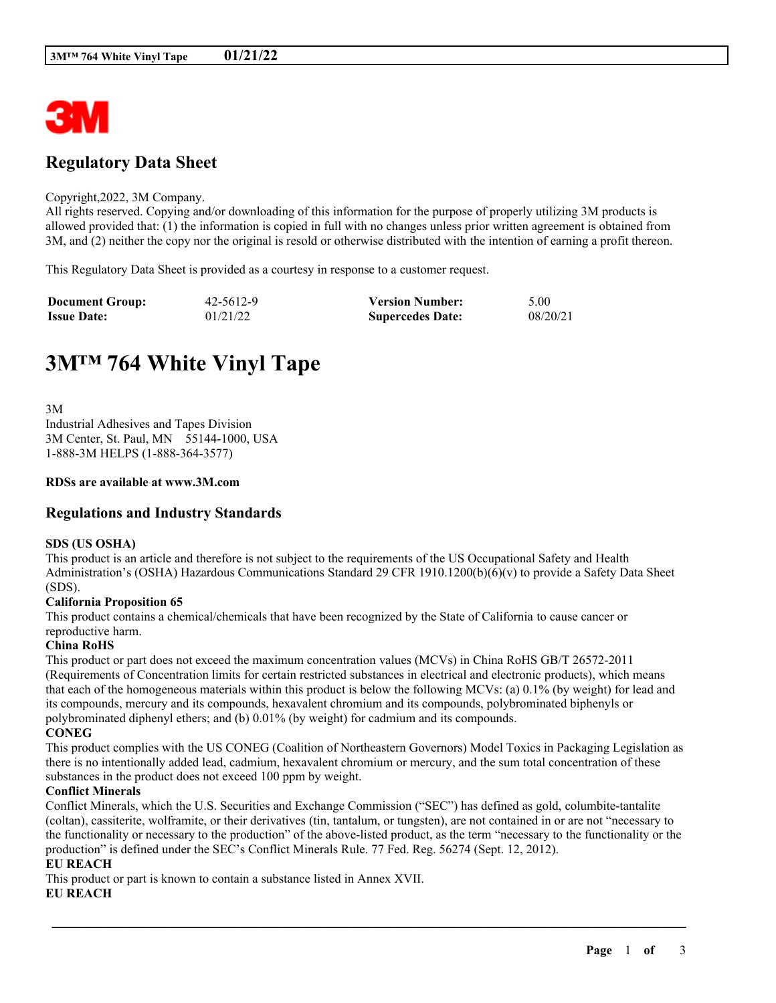

## **Regulatory Data Sheet**

#### Copyright,2022, 3M Company.

All rights reserved. Copying and/or downloading of this information for the purpose of properly utilizing 3M products is allowed provided that: (1) the information is copied in full with no changes unless prior written agreement is obtained from 3M, and (2) neither the copy nor the original is resold or otherwise distributed with the intention of earning a profit thereon.

This Regulatory Data Sheet is provided as a courtesy in response to a customer request.

| <b>Document Group:</b> | 42-5612-9 | <b>Version Number:</b>  | 5.00     |
|------------------------|-----------|-------------------------|----------|
| <b>Issue Date:</b>     | 01/21/22  | <b>Supercedes Date:</b> | 08/20/21 |

# **3M™ 764 White Vinyl Tape**

3M Industrial Adhesives and Tapes Division 3M Center, St. Paul, MN 55144-1000, USA 1-888-3M HELPS (1-888-364-3577)

#### **RDSs are available at www.3M.com**

## **Regulations and Industry Standards**

#### **SDS (US OSHA)**

This product is an article and therefore is not subject to the requirements of the US Occupational Safety and Health Administration's (OSHA) Hazardous Communications Standard 29 CFR 1910.1200(b)(6)(v) to provide a Safety Data Sheet (SDS).

#### **California Proposition 65**

This product contains a chemical/chemicals that have been recognized by the State of California to cause cancer or reproductive harm.

#### **China RoHS**

This product or part does not exceed the maximum concentration values (MCVs) in China RoHS GB/T 26572-2011 (Requirements of Concentration limits for certain restricted substances in electrical and electronic products), which means that each of the homogeneous materials within this product is below the following MCVs: (a) 0.1% (by weight) for lead and its compounds, mercury and its compounds, hexavalent chromium and its compounds, polybrominated biphenyls or polybrominated diphenyl ethers; and (b) 0.01% (by weight) for cadmium and its compounds. **CONEG**

This product complies with the US CONEG (Coalition of Northeastern Governors) Model Toxics in Packaging Legislation as there is no intentionally added lead, cadmium, hexavalent chromium or mercury, and the sum total concentration of these substances in the product does not exceed 100 ppm by weight.

#### **Conflict Minerals**

Conflict Minerals, which the U.S. Securities and Exchange Commission ("SEC") has defined as gold, columbite-tantalite (coltan), cassiterite, wolframite, or their derivatives (tin, tantalum, or tungsten), are not contained in or are not "necessary to the functionality or necessary to the production" of the above-listed product, as the term "necessary to the functionality or the production" is defined under the SEC's Conflict Minerals Rule. 77 Fed. Reg. 56274 (Sept. 12, 2012).

\_\_\_\_\_\_\_\_\_\_\_\_\_\_\_\_\_\_\_\_\_\_\_\_\_\_\_\_\_\_\_\_\_\_\_\_\_\_\_\_\_\_\_\_\_\_\_\_\_\_\_\_\_\_\_\_\_\_\_\_\_\_\_\_\_\_\_\_\_\_\_\_\_\_\_\_\_\_\_\_\_\_\_\_\_\_\_\_\_\_

## **EU REACH**

This product or part is known to contain a substance listed in Annex XVII.

#### **EU REACH**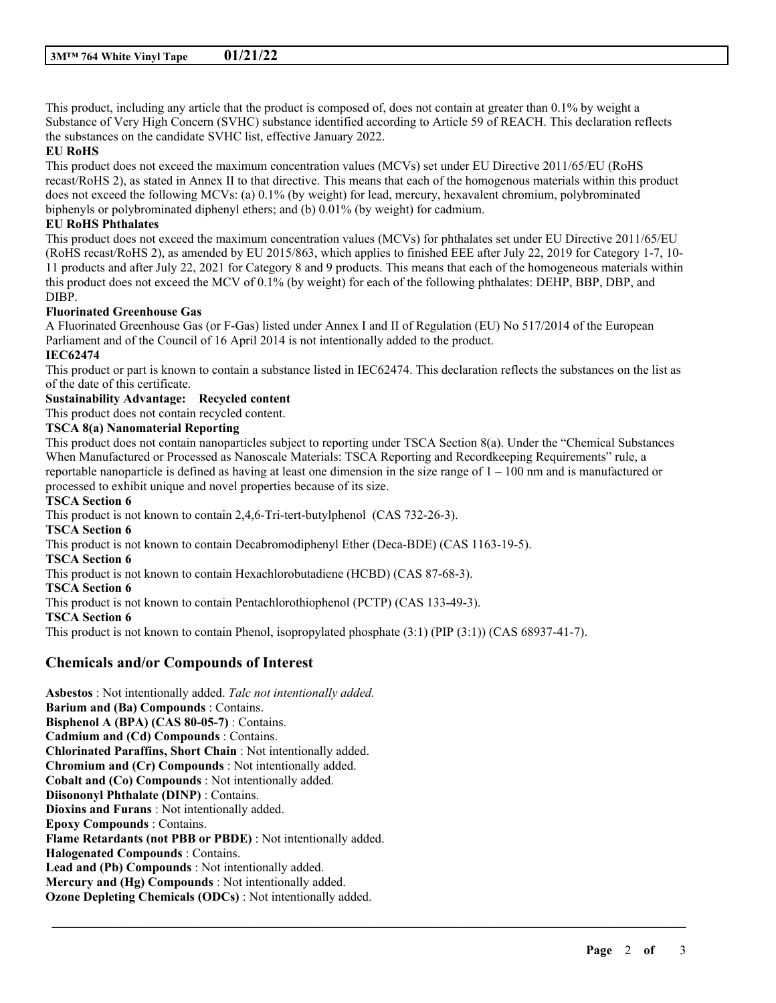This product, including any article that the product is composed of, does not contain at greater than 0.1% by weight a Substance of Very High Concern (SVHC) substance identified according to Article 59 of REACH. This declaration reflects the substances on the candidate SVHC list, effective January 2022.

#### **EU RoHS**

This product does not exceed the maximum concentration values (MCVs) set under EU Directive 2011/65/EU (RoHS recast/RoHS 2), as stated in Annex II to that directive. This means that each of the homogenous materials within this product does not exceed the following MCVs: (a) 0.1% (by weight) for lead, mercury, hexavalent chromium, polybrominated biphenyls or polybrominated diphenyl ethers; and (b) 0.01% (by weight) for cadmium.

## **EU RoHS Phthalates**

This product does not exceed the maximum concentration values (MCVs) for phthalates set under EU Directive 2011/65/EU (RoHS recast/RoHS 2), as amended by EU 2015/863, which applies to finished EEE after July 22, 2019 for Category 1-7, 10- 11 products and after July 22, 2021 for Category 8 and 9 products. This means that each of the homogeneous materials within this product does not exceed the MCV of 0.1% (by weight) for each of the following phthalates: DEHP, BBP, DBP, and DIBP.

#### **Fluorinated Greenhouse Gas**

A Fluorinated Greenhouse Gas (or F-Gas) listed under Annex I and II of Regulation (EU) No 517/2014 of the European Parliament and of the Council of 16 April 2014 is not intentionally added to the product.

## **IEC62474**

This product or part is known to contain a substance listed in IEC62474. This declaration reflects the substances on the list as of the date of this certificate.

## **Sustainability Advantage: Recycled content**

This product does not contain recycled content.

#### **TSCA 8(a) Nanomaterial Reporting**

This product does not contain nanoparticles subject to reporting under TSCA Section 8(a). Under the "Chemical Substances When Manufactured or Processed as Nanoscale Materials: TSCA Reporting and Recordkeeping Requirements" rule, a reportable nanoparticle is defined as having at least one dimension in the size range of  $1 - 100$  nm and is manufactured or processed to exhibit unique and novel properties because of its size.

\_\_\_\_\_\_\_\_\_\_\_\_\_\_\_\_\_\_\_\_\_\_\_\_\_\_\_\_\_\_\_\_\_\_\_\_\_\_\_\_\_\_\_\_\_\_\_\_\_\_\_\_\_\_\_\_\_\_\_\_\_\_\_\_\_\_\_\_\_\_\_\_\_\_\_\_\_\_\_\_\_\_\_\_\_\_\_\_\_\_

#### **TSCA Section 6**

This product is not known to contain 2,4,6-Tri-tert-butylphenol (CAS 732-26-3). **TSCA Section 6** This product is not known to contain Decabromodiphenyl Ether (Deca-BDE) (CAS 1163-19-5). **TSCA Section 6** This product is not known to contain Hexachlorobutadiene (HCBD) (CAS 87-68-3). **TSCA Section 6** This product is not known to contain Pentachlorothiophenol (PCTP) (CAS 133-49-3). **TSCA Section 6** This product is not known to contain Phenol, isopropylated phosphate (3:1) (PIP (3:1)) (CAS 68937-41-7).

## **Chemicals and/or Compounds of Interest**

**Asbestos** : Not intentionally added. *Talc not intentionally added.* **Barium and (Ba) Compounds** : Contains. **Bisphenol A (BPA) (CAS 80-05-7)** : Contains. **Cadmium and (Cd) Compounds** : Contains. **Chlorinated Paraffins, Short Chain** : Not intentionally added. **Chromium and (Cr) Compounds** : Not intentionally added. **Cobalt and (Co) Compounds** : Not intentionally added. **Diisononyl Phthalate (DINP)** : Contains. **Dioxins and Furans** : Not intentionally added. **Epoxy Compounds** : Contains. **Flame Retardants (not PBB or PBDE)** : Not intentionally added. **Halogenated Compounds** : Contains. **Lead and (Pb) Compounds** : Not intentionally added. **Mercury and (Hg) Compounds** : Not intentionally added. **Ozone Depleting Chemicals (ODCs)** : Not intentionally added.